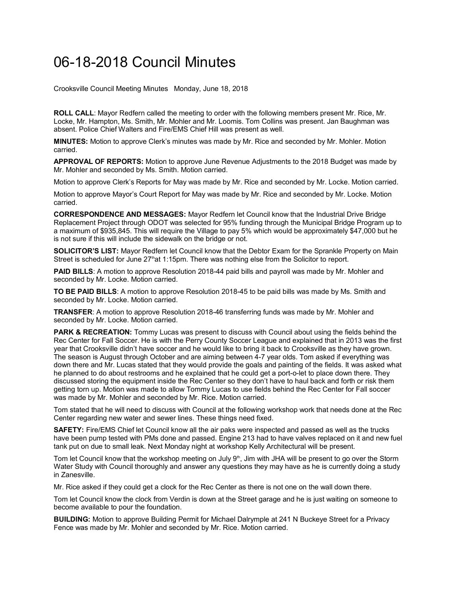## 06-18-2018 Council Minutes

Crooksville Council Meeting Minutes Monday, June 18, 2018

**ROLL CALL**: Mayor Redfern called the meeting to order with the following members present Mr. Rice, Mr. Locke, Mr. Hampton, Ms. Smith, Mr. Mohler and Mr. Loomis. Tom Collins was present. Jan Baughman was absent. Police Chief Walters and Fire/EMS Chief Hill was present as well.

**MINUTES:** Motion to approve Clerk's minutes was made by Mr. Rice and seconded by Mr. Mohler. Motion carried.

**APPROVAL OF REPORTS:** Motion to approve June Revenue Adjustments to the 2018 Budget was made by Mr. Mohler and seconded by Ms. Smith. Motion carried.

Motion to approve Clerk's Reports for May was made by Mr. Rice and seconded by Mr. Locke. Motion carried.

Motion to approve Mayor's Court Report for May was made by Mr. Rice and seconded by Mr. Locke. Motion carried.

**CORRESPONDENCE AND MESSAGES:** Mayor Redfern let Council know that the Industrial Drive Bridge Replacement Project through ODOT was selected for 95% funding through the Municipal Bridge Program up to a maximum of \$935,845. This will require the Village to pay 5% which would be approximately \$47,000 but he is not sure if this will include the sidewalk on the bridge or not.

**SOLICITOR'S LIST:** Mayor Redfern let Council know that the Debtor Exam for the Sprankle Property on Main Street is scheduled for June 27<sup>th</sup>at 1:15pm. There was nothing else from the Solicitor to report.

**PAID BILLS**: A motion to approve Resolution 2018-44 paid bills and payroll was made by Mr. Mohler and seconded by Mr. Locke. Motion carried.

**TO BE PAID BILLS**: A motion to approve Resolution 2018-45 to be paid bills was made by Ms. Smith and seconded by Mr. Locke. Motion carried.

**TRANSFER**: A motion to approve Resolution 2018-46 transferring funds was made by Mr. Mohler and seconded by Mr. Locke. Motion carried.

**PARK & RECREATION:** Tommy Lucas was present to discuss with Council about using the fields behind the Rec Center for Fall Soccer. He is with the Perry County Soccer League and explained that in 2013 was the first year that Crooksville didn't have soccer and he would like to bring it back to Crooksville as they have grown. The season is August through October and are aiming between 4-7 year olds. Tom asked if everything was down there and Mr. Lucas stated that they would provide the goals and painting of the fields. It was asked what he planned to do about restrooms and he explained that he could get a port-o-let to place down there. They discussed storing the equipment inside the Rec Center so they don't have to haul back and forth or risk them getting torn up. Motion was made to allow Tommy Lucas to use fields behind the Rec Center for Fall soccer was made by Mr. Mohler and seconded by Mr. Rice. Motion carried.

Tom stated that he will need to discuss with Council at the following workshop work that needs done at the Rec Center regarding new water and sewer lines. These things need fixed.

**SAFETY:** Fire/EMS Chief let Council know all the air paks were inspected and passed as well as the trucks have been pump tested with PMs done and passed. Engine 213 had to have valves replaced on it and new fuel tank put on due to small leak. Next Monday night at workshop Kelly Architectural will be present.

Tom let Council know that the workshop meeting on July  $9<sup>th</sup>$ , Jim with JHA will be present to go over the Storm Water Study with Council thoroughly and answer any questions they may have as he is currently doing a study in Zanesville.

Mr. Rice asked if they could get a clock for the Rec Center as there is not one on the wall down there.

Tom let Council know the clock from Verdin is down at the Street garage and he is just waiting on someone to become available to pour the foundation.

**BUILDING:** Motion to approve Building Permit for Michael Dalrymple at 241 N Buckeye Street for a Privacy Fence was made by Mr. Mohler and seconded by Mr. Rice. Motion carried.